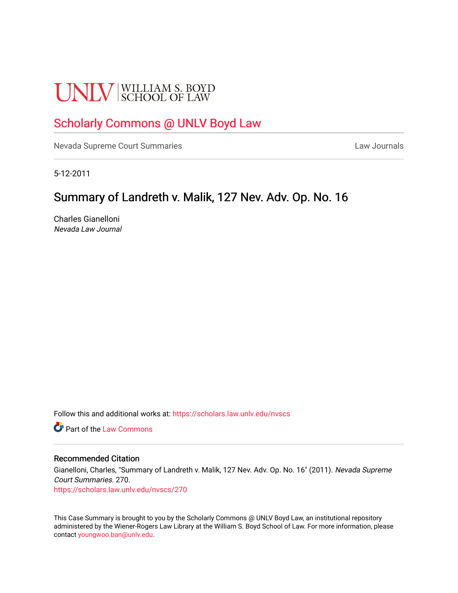# **UNLV** SCHOOL OF LAW

# [Scholarly Commons @ UNLV Boyd Law](https://scholars.law.unlv.edu/)

[Nevada Supreme Court Summaries](https://scholars.law.unlv.edu/nvscs) **Law Journals** Law Journals

5-12-2011

# Summary of Landreth v. Malik, 127 Nev. Adv. Op. No. 16

Charles Gianelloni Nevada Law Journal

Follow this and additional works at: [https://scholars.law.unlv.edu/nvscs](https://scholars.law.unlv.edu/nvscs?utm_source=scholars.law.unlv.edu%2Fnvscs%2F270&utm_medium=PDF&utm_campaign=PDFCoverPages)

**C** Part of the [Law Commons](http://network.bepress.com/hgg/discipline/578?utm_source=scholars.law.unlv.edu%2Fnvscs%2F270&utm_medium=PDF&utm_campaign=PDFCoverPages)

#### Recommended Citation

Gianelloni, Charles, "Summary of Landreth v. Malik, 127 Nev. Adv. Op. No. 16" (2011). Nevada Supreme Court Summaries. 270.

[https://scholars.law.unlv.edu/nvscs/270](https://scholars.law.unlv.edu/nvscs/270?utm_source=scholars.law.unlv.edu%2Fnvscs%2F270&utm_medium=PDF&utm_campaign=PDFCoverPages)

This Case Summary is brought to you by the Scholarly Commons @ UNLV Boyd Law, an institutional repository administered by the Wiener-Rogers Law Library at the William S. Boyd School of Law. For more information, please contact [youngwoo.ban@unlv.edu](mailto:youngwoo.ban@unlv.edu).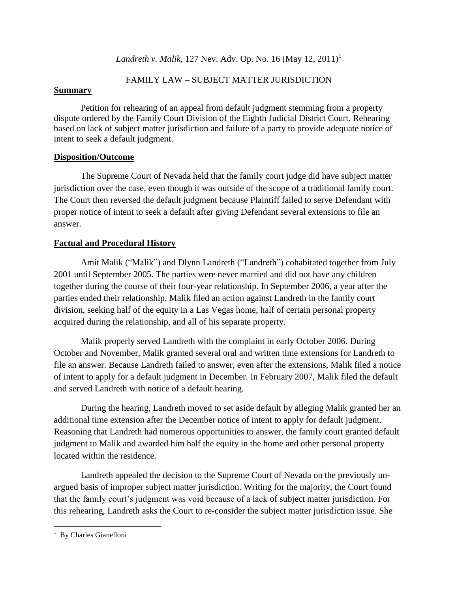# *Landreth v. Malik*, 127 Nev. Adv. Op. No. 16 (May 12, 2011)<sup>1</sup>

# FAMILY LAW – SUBJECT MATTER JURISDICTION

# **Summary**

Petition for rehearing of an appeal from default judgment stemming from a property dispute ordered by the Family Court Division of the Eighth Judicial District Court. Rehearing based on lack of subject matter jurisdiction and failure of a party to provide adequate notice of intent to seek a default judgment.

# **Disposition/Outcome**

The Supreme Court of Nevada held that the family court judge did have subject matter jurisdiction over the case, even though it was outside of the scope of a traditional family court. The Court then reversed the default judgment because Plaintiff failed to serve Defendant with proper notice of intent to seek a default after giving Defendant several extensions to file an answer.

# **Factual and Procedural History**

Amit Malik ("Malik") and Dlynn Landreth ("Landreth") cohabitated together from July 2001 until September 2005. The parties were never married and did not have any children together during the course of their four-year relationship. In September 2006, a year after the parties ended their relationship, Malik filed an action against Landreth in the family court division, seeking half of the equity in a Las Vegas home, half of certain personal property acquired during the relationship, and all of his separate property.

Malik properly served Landreth with the complaint in early October 2006. During October and November, Malik granted several oral and written time extensions for Landreth to file an answer. Because Landreth failed to answer, even after the extensions, Malik filed a notice of intent to apply for a default judgment in December. In February 2007, Malik filed the default and served Landreth with notice of a default hearing.

During the hearing, Landreth moved to set aside default by alleging Malik granted her an additional time extension after the December notice of intent to apply for default judgment. Reasoning that Landreth had numerous opportunities to answer, the family court granted default judgment to Malik and awarded him half the equity in the home and other personal property located within the residence.

Landreth appealed the decision to the Supreme Court of Nevada on the previously unargued basis of improper subject matter jurisdiction. Writing for the majority, the Court found that the family court's judgment was void because of a lack of subject matter jurisdiction. For this rehearing, Landreth asks the Court to re-consider the subject matter jurisdiction issue. She

 $\overline{\phantom{a}}$ <sup>1</sup> By Charles Gianelloni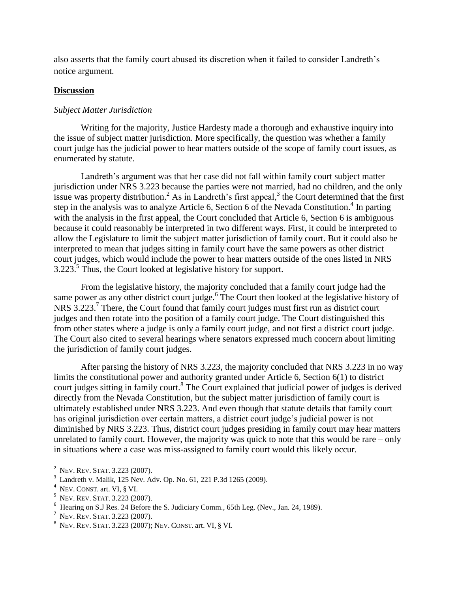also asserts that the family court abused its discretion when it failed to consider Landreth's notice argument.

### **Discussion**

### *Subject Matter Jurisdiction*

Writing for the majority, Justice Hardesty made a thorough and exhaustive inquiry into the issue of subject matter jurisdiction. More specifically, the question was whether a family court judge has the judicial power to hear matters outside of the scope of family court issues, as enumerated by statute.

Landreth's argument was that her case did not fall within family court subject matter jurisdiction under NRS 3.223 because the parties were not married, had no children, and the only issue was property distribution.<sup>2</sup> As in Landreth's first appeal,<sup>3</sup> the Court determined that the first step in the analysis was to analyze Article 6, Section 6 of the Nevada Constitution.<sup>4</sup> In parting with the analysis in the first appeal, the Court concluded that Article 6, Section 6 is ambiguous because it could reasonably be interpreted in two different ways. First, it could be interpreted to allow the Legislature to limit the subject matter jurisdiction of family court. But it could also be interpreted to mean that judges sitting in family court have the same powers as other district court judges, which would include the power to hear matters outside of the ones listed in NRS  $3.223$ <sup>5</sup>. Thus, the Court looked at legislative history for support.

From the legislative history, the majority concluded that a family court judge had the same power as any other district court judge.<sup>6</sup> The Court then looked at the legislative history of NRS 3.223.<sup>7</sup> There, the Court found that family court judges must first run as district court judges and then rotate into the position of a family court judge. The Court distinguished this from other states where a judge is only a family court judge, and not first a district court judge. The Court also cited to several hearings where senators expressed much concern about limiting the jurisdiction of family court judges.

After parsing the history of NRS 3.223, the majority concluded that NRS 3.223 in no way limits the constitutional power and authority granted under Article 6, Section 6(1) to district court judges sitting in family court.<sup>8</sup> The Court explained that judicial power of judges is derived directly from the Nevada Constitution, but the subject matter jurisdiction of family court is ultimately established under NRS 3.223. And even though that statute details that family court has original jurisdiction over certain matters, a district court judge's judicial power is not diminished by NRS 3.223. Thus, district court judges presiding in family court may hear matters unrelated to family court. However, the majority was quick to note that this would be rare – only in situations where a case was miss-assigned to family court would this likely occur.

 $\overline{\phantom{a}}$ 

<sup>2</sup> NEV. REV. STAT. 3.223 (2007).

<sup>3</sup> Landreth v. Malik*,* 125 Nev. Adv. Op. No. 61, 221 P.3d 1265 (2009).

<sup>4</sup> NEV. CONST. art. VI, § VI.

<sup>5</sup> NEV. REV. STAT. 3.223 (2007).

<sup>6</sup> Hearing on S.J Res. 24 Before the S. Judiciary Comm., 65th Leg. (Nev., Jan. 24, 1989).

NEV. REV. STAT. 3.223 (2007).

<sup>8</sup> NEV. REV. STAT. 3.223 (2007); NEV. CONST. art. VI, § VI.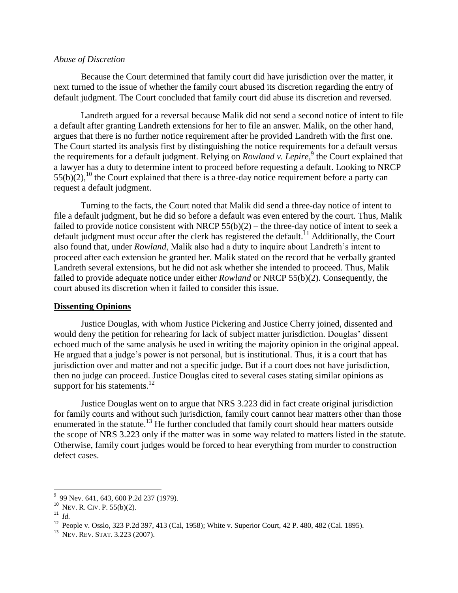#### *Abuse of Discretion*

Because the Court determined that family court did have jurisdiction over the matter, it next turned to the issue of whether the family court abused its discretion regarding the entry of default judgment. The Court concluded that family court did abuse its discretion and reversed.

Landreth argued for a reversal because Malik did not send a second notice of intent to file a default after granting Landreth extensions for her to file an answer. Malik, on the other hand, argues that there is no further notice requirement after he provided Landreth with the first one. The Court started its analysis first by distinguishing the notice requirements for a default versus the requirements for a default judgment. Relying on *Rowland v. Lepire*,<sup>9</sup> the Court explained that a lawyer has a duty to determine intent to proceed before requesting a default. Looking to NRCP  $55(b)(2)$ ,<sup>10</sup> the Court explained that there is a three-day notice requirement before a party can request a default judgment.

Turning to the facts, the Court noted that Malik did send a three-day notice of intent to file a default judgment, but he did so before a default was even entered by the court. Thus, Malik failed to provide notice consistent with NRCP  $55(b)(2)$  – the three-day notice of intent to seek a default judgment must occur after the clerk has registered the default.<sup>11</sup> Additionally, the Court also found that, under *Rowland*, Malik also had a duty to inquire about Landreth's intent to proceed after each extension he granted her. Malik stated on the record that he verbally granted Landreth several extensions, but he did not ask whether she intended to proceed. Thus, Malik failed to provide adequate notice under either *Rowland* or NRCP 55(b)(2). Consequently, the court abused its discretion when it failed to consider this issue.

#### **Dissenting Opinions**

Justice Douglas, with whom Justice Pickering and Justice Cherry joined, dissented and would deny the petition for rehearing for lack of subject matter jurisdiction. Douglas' dissent echoed much of the same analysis he used in writing the majority opinion in the original appeal. He argued that a judge's power is not personal, but is institutional. Thus, it is a court that has jurisdiction over and matter and not a specific judge. But if a court does not have jurisdiction, then no judge can proceed. Justice Douglas cited to several cases stating similar opinions as support for his statements. $12$ 

Justice Douglas went on to argue that NRS 3.223 did in fact create original jurisdiction for family courts and without such jurisdiction, family court cannot hear matters other than those enumerated in the statute.<sup>13</sup> He further concluded that family court should hear matters outside the scope of NRS 3.223 only if the matter was in some way related to matters listed in the statute. Otherwise, family court judges would be forced to hear everything from murder to construction defect cases.

l

<sup>&</sup>lt;sup>9</sup> 99 Nev. 641, 643, 600 P.2d 237 (1979).

 $10$  Nev. R. Civ. P. 55(b)(2).

 $11$  *Id.* 

<sup>12</sup> People v. Osslo, 323 P.2d 397, 413 (Cal, 1958); White v. Superior Court, 42 P. 480, 482 (Cal. 1895).

<sup>13</sup> NEV. REV. STAT. 3.223 (2007).